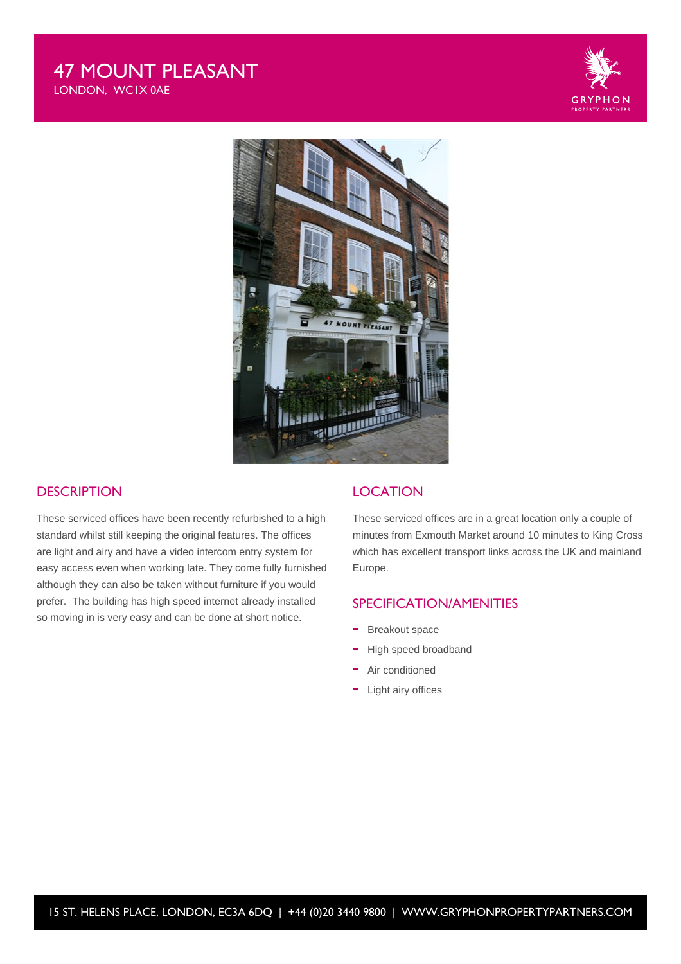## 47 MOUNT PLEASANT LONDON, WC1X 0AE



### **DESCRIPTION**

These serviced offices have been recently refurbished to a high standard whilst still keeping the original features. The offices are light and airy and have a video intercom entry system for easy access even when working late. They come fully furnished although they can also be taken without furniture if you would prefer. The building has high speed internet already installed so moving in is very easy and can be done at short notice.

### **LOCATION**

These serviced offices are in a great location only a couple of minutes from Exmouth Market around 10 minutes to King Cross which has excellent transport links across the UK and mainland Europe.

### SPECIFICATION/AMENITIES

- Breakout space
- High speed broadband
- Air conditioned
- Light airy offices